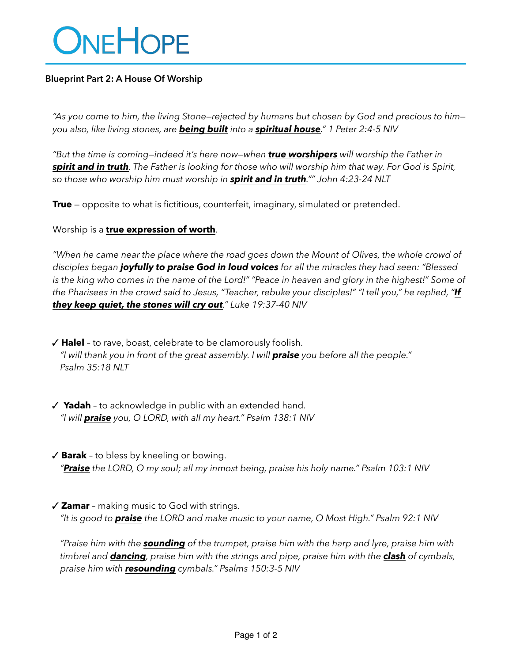# ONEHOPE

### **Blueprint Part 2: A House Of Worship**

*"As you come to him, the living Stone—rejected by humans but chosen by God and precious to him you also, like living stones, are being built into a spiritual house." 1 Peter 2:4-5 NIV*

*"But the time is coming—indeed it's here now—when true worshipers will worship the Father in spirit and in truth. The Father is looking for those who will worship him that way. For God is Spirit, so those who worship him must worship in spirit and in truth."" John 4:23-24 NLT*

**True** — opposite to what is fictitious, counterfeit, imaginary, simulated or pretended.

Worship is a **true expression of worth**.

*"When he came near the place where the road goes down the Mount of Olives, the whole crowd of disciples began joyfully to praise God in loud voices for all the miracles they had seen: "Blessed is the king who comes in the name of the Lord!" "Peace in heaven and glory in the highest!" Some of the Pharisees in the crowd said to Jesus, "Teacher, rebuke your disciples!" "I tell you," he replied, "If they keep quiet, the stones will cry out." Luke 19:37-40 NIV*

 ✓ **Halel** – to rave, boast, celebrate to be clamorously foolish. *"I will thank you in front of the great assembly. I will praise you before all the people." Psalm 35:18 NLT*

- ✓ **Yadah** to acknowledge in public with an extended hand. *"I will praise you, O LORD, with all my heart." Psalm 138:1 NIV*
- ✓ **Barak** to bless by kneeling or bowing. *"Praise the LORD, O my soul; all my inmost being, praise his holy name." Psalm 103:1 NIV*
- ✓ **Zamar** making music to God with strings. *"It is good to praise the LORD and make music to your name, O Most High." Psalm 92:1 NIV*

*"Praise him with the sounding of the trumpet, praise him with the harp and lyre, praise him with timbrel and dancing, praise him with the strings and pipe, praise him with the clash of cymbals, praise him with resounding cymbals." Psalms 150:3-5 NIV*